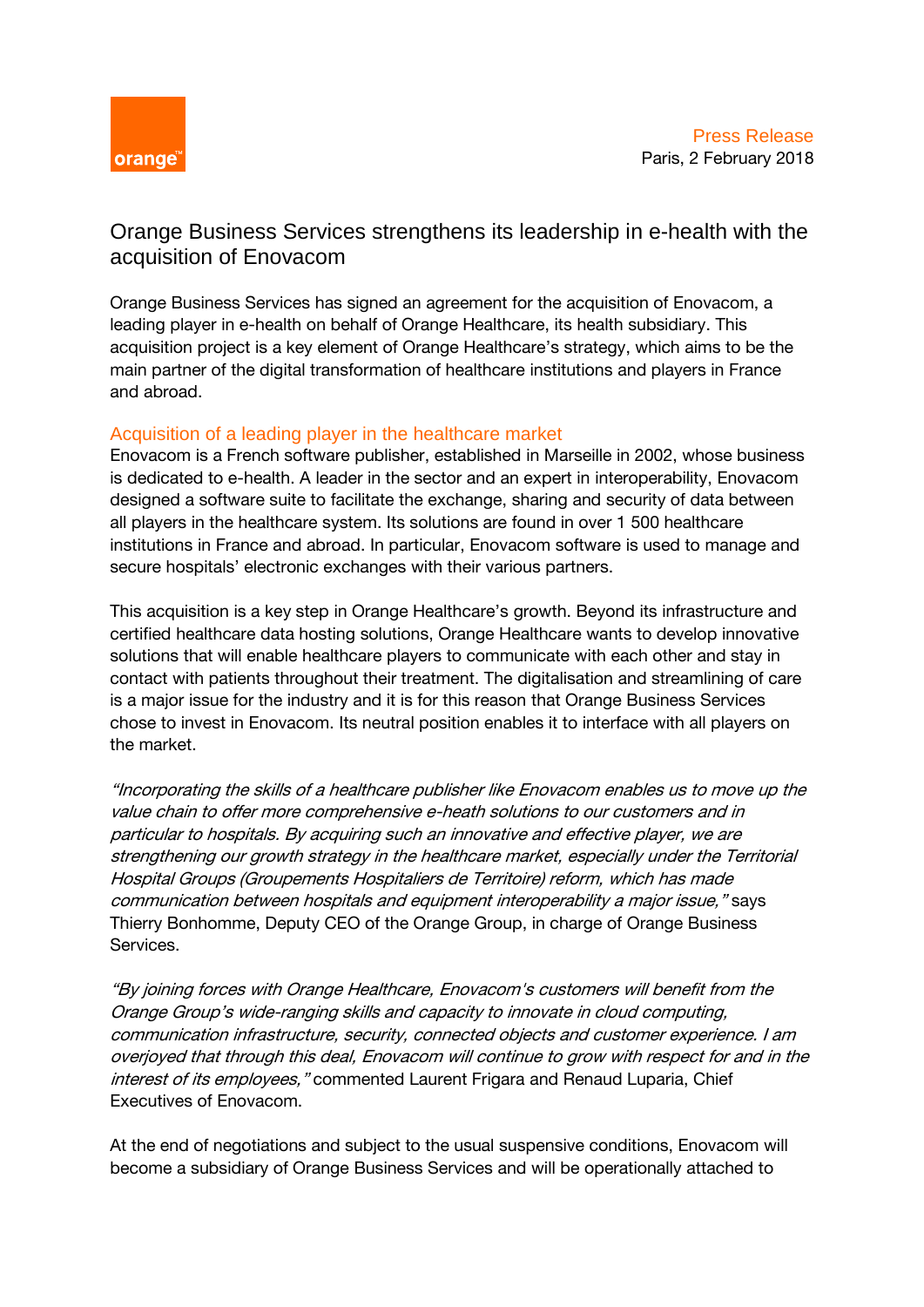

## Orange Business Services strengthens its leadership in e-health with the acquisition of Enovacom

Orange Business Services has signed an agreement for the acquisition of Enovacom, a leading player in e-health on behalf of Orange Healthcare, its health subsidiary. This acquisition project is a key element of Orange Healthcare's strategy, which aims to be the main partner of the digital transformation of healthcare institutions and players in France and abroad.

## Acquisition of a leading player in the healthcare market

Enovacom is a French software publisher, established in Marseille in 2002, whose business is dedicated to e-health. A leader in the sector and an expert in interoperability, Enovacom designed a software suite to facilitate the exchange, sharing and security of data between all players in the healthcare system. Its solutions are found in over 1 500 healthcare institutions in France and abroad. In particular, Enovacom software is used to manage and secure hospitals' electronic exchanges with their various partners.

This acquisition is a key step in Orange Healthcare's growth. Beyond its infrastructure and certified healthcare data hosting solutions, Orange Healthcare wants to develop innovative solutions that will enable healthcare players to communicate with each other and stay in contact with patients throughout their treatment. The digitalisation and streamlining of care is a major issue for the industry and it is for this reason that Orange Business Services chose to invest in Enovacom. Its neutral position enables it to interface with all players on the market.

"Incorporating the skills of a healthcare publisher like Enovacom enables us to move up the value chain to offer more comprehensive e-heath solutions to our customers and in particular to hospitals. By acquiring such an innovative and effective player, we are strengthening our growth strategy in the healthcare market, especially under the Territorial Hospital Groups (Groupements Hospitaliers de Territoire) reform, which has made communication between hospitals and equipment interoperability a major issue," says Thierry Bonhomme, Deputy CEO of the Orange Group, in charge of Orange Business Services.

"By joining forces with Orange Healthcare, Enovacom's customers will benefit from the Orange Group's wide-ranging skills and capacity to innovate in cloud computing, communication infrastructure, security, connected objects and customer experience. I am overjoyed that through this deal, Enovacom will continue to grow with respect for and in the interest of its employees, "commented Laurent Frigara and Renaud Luparia, Chief Executives of Enovacom.

At the end of negotiations and subject to the usual suspensive conditions, Enovacom will become a subsidiary of Orange Business Services and will be operationally attached to